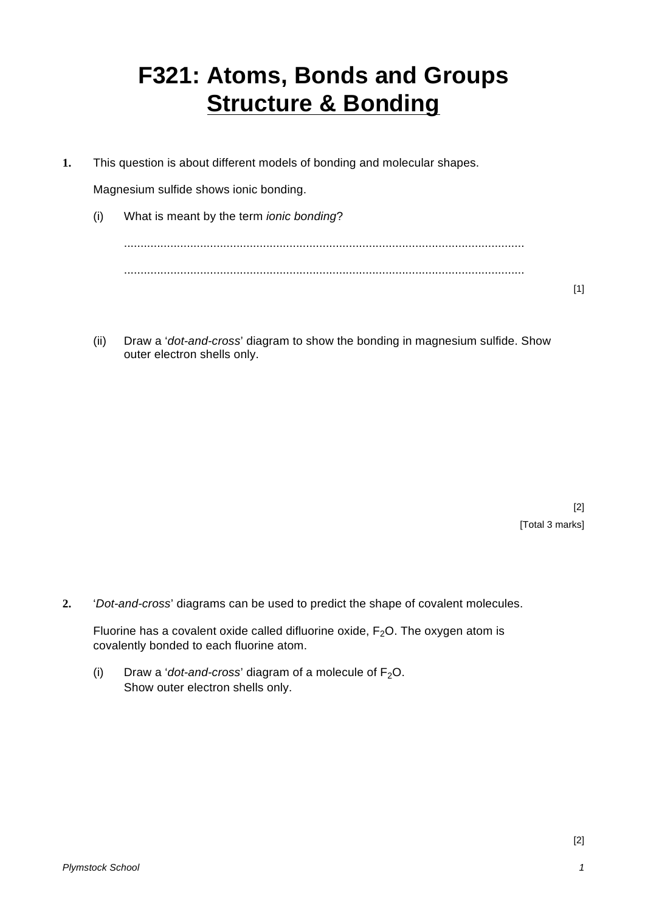## **F321: Atoms, Bonds and Groups Structure & Bonding**

**1.** This question is about different models of bonding and molecular shapes.

Magnesium sulfide shows ionic bonding.

- (i) What is meant by the term *ionic bonding*? ......................................................................................................................... .........................................................................................................................
- [1]
- (ii) Draw a '*dot-and-cross*' diagram to show the bonding in magnesium sulfide. Show outer electron shells only.

[2] [Total 3 marks]

**2.** '*Dot-and-cross*' diagrams can be used to predict the shape of covalent molecules.

Fluorine has a covalent oxide called difluorine oxide,  $F_2O$ . The oxygen atom is covalently bonded to each fluorine atom.

(i) Draw a '*dot-and-cross*' diagram of a molecule of  $F_2O$ . Show outer electron shells only.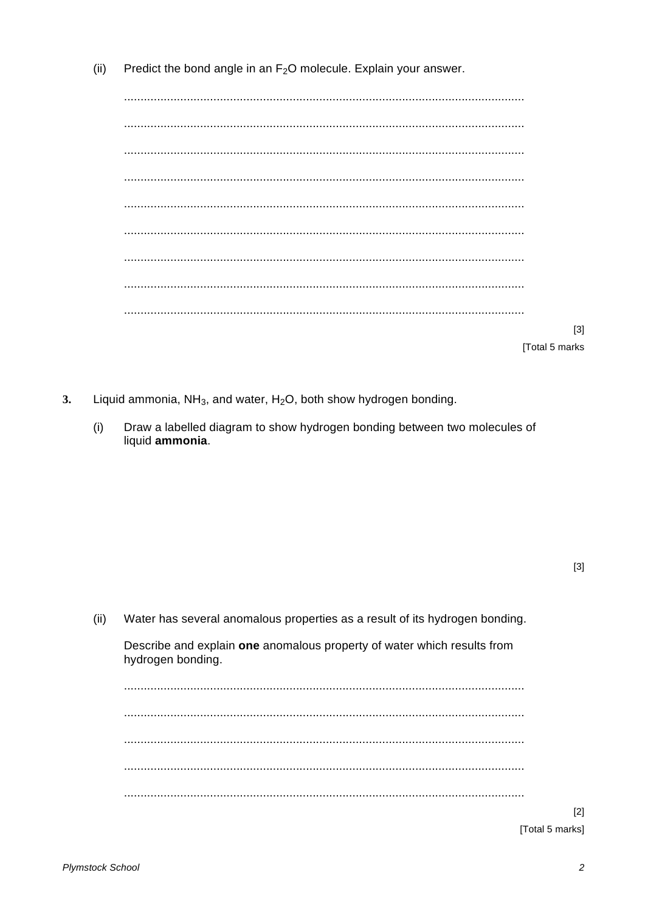Predict the bond angle in an  $F_2O$  molecule. Explain your answer.  $(iii)$ 

[Total 5 marks

- $3.$ Liquid ammonia,  $NH_3$ , and water,  $H_2O$ , both show hydrogen bonding.
	- Draw a labelled diagram to show hydrogen bonding between two molecules of  $(i)$ liquid ammonia.

 $[3]$ 

Water has several anomalous properties as a result of its hydrogen bonding.  $(ii)$ Describe and explain one anomalous property of water which results from hydrogen bonding. 

[Total 5 marks]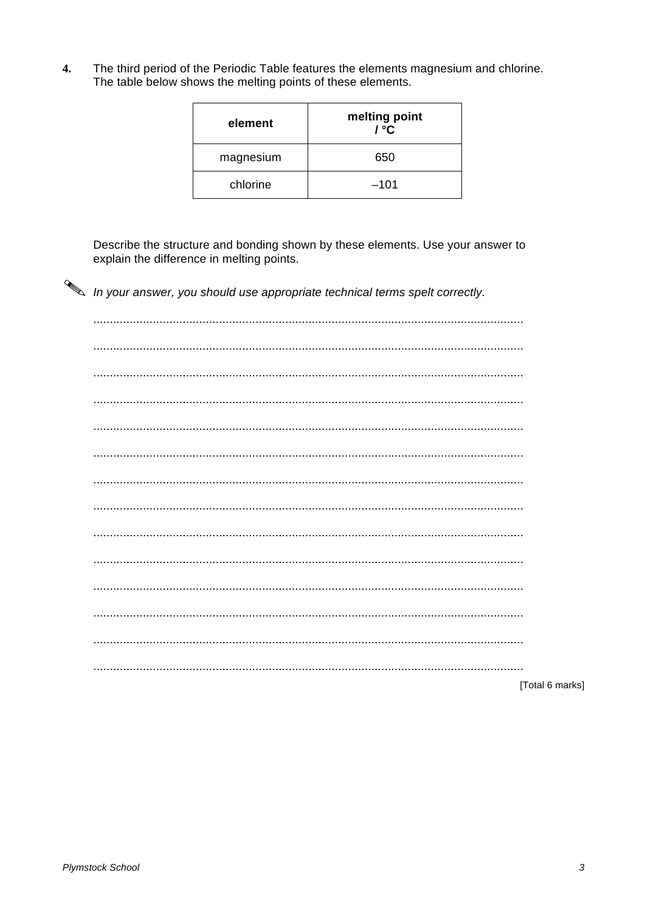The third period of the Periodic Table features the elements magnesium and chlorine.  $\overline{\mathbf{4}}$ . The table below shows the melting points of these elements.

| element   | melting point<br>/ °C |
|-----------|-----------------------|
| magnesium | 650                   |
| chlorine  | $-101$                |

Describe the structure and bonding shown by these elements. Use your answer to explain the difference in melting points.

In your answer, you should use appropriate technical terms spelt correctly.

[Total 6 marks]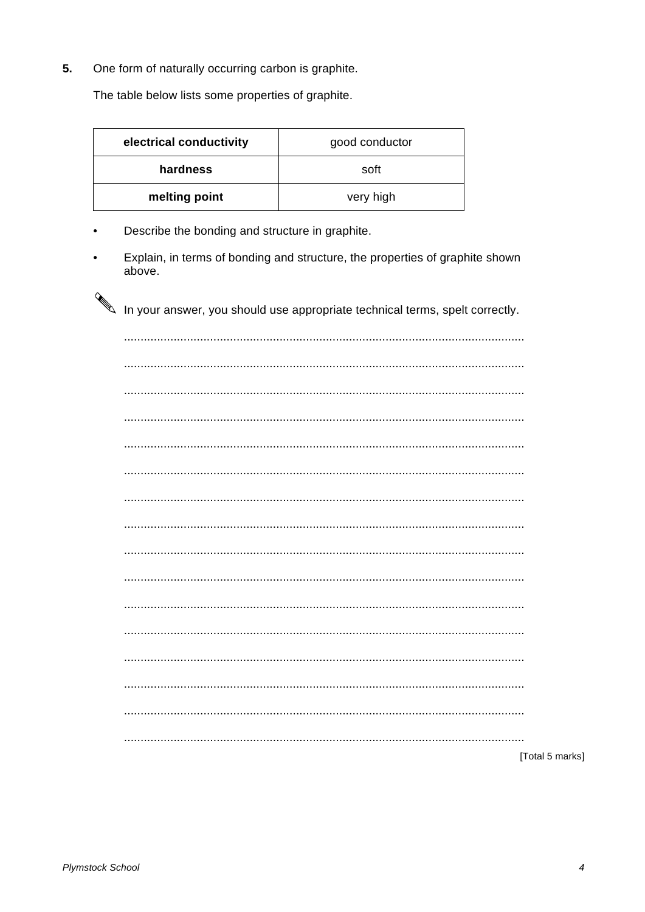5. One form of naturally occurring carbon is graphite.

The table below lists some properties of graphite.

| electrical conductivity | good conductor |  |
|-------------------------|----------------|--|
| hardness                | soft           |  |
| melting point           | very high      |  |

- Describe the bonding and structure in graphite.  $\bullet$
- Explain, in terms of bonding and structure, the properties of graphite shown  $\bullet$ above.

In your answer, you should use appropriate technical terms, spelt correctly.

| [Total 5 marks] |
|-----------------|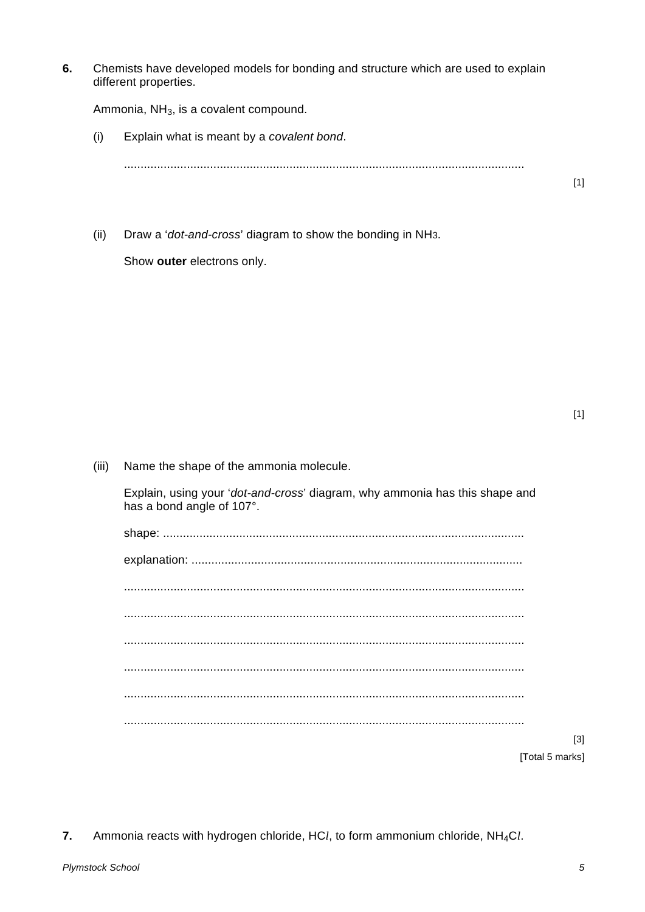6. Chemists have developed models for bonding and structure which are used to explain different properties.

Ammonia, NH<sub>3</sub>, is a covalent compound.

- Explain what is meant by a covalent bond.  $(i)$
- Draw a 'dot-and-cross' diagram to show the bonding in NH3.  $(ii)$

Show outer electrons only.

 $[1]$ 

 $(iii)$ Name the shape of the ammonia molecule.

> Explain, using your 'dot-and-cross' diagram, why ammonia has this shape and has a bond angle of 107°.

| $[3]$           |
|-----------------|
| [Total 5 marks] |

7. Ammonia reacts with hydrogen chloride, HCl, to form ammonium chloride, NH<sub>4</sub>Cl.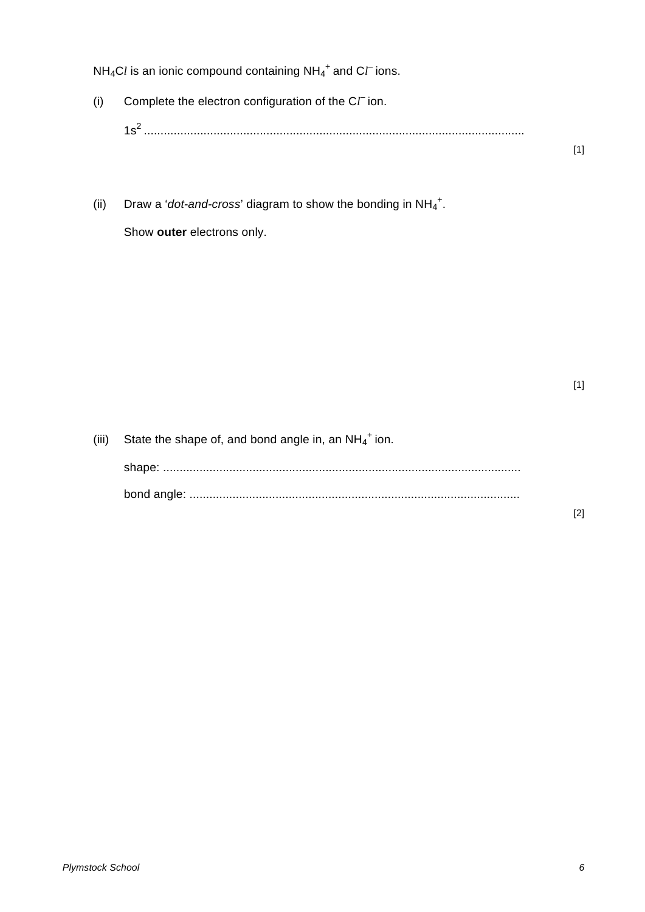$NH_4Cl$  is an ionic compound containing  $NH_4^+$  and  $C\ell^-$  ions.

- (i) Complete the electron configuration of the  $C\Gamma$  ion. 1s<sup>2</sup> ...................................................................................................................
- (ii) Draw a '*dot-and-cross*' diagram to show the bonding in  $NH_4^+$ .

Show **outer** electrons only.

[1]

[1]

(iii) State the shape of, and bond angle in, an  $NH_4^+$  ion.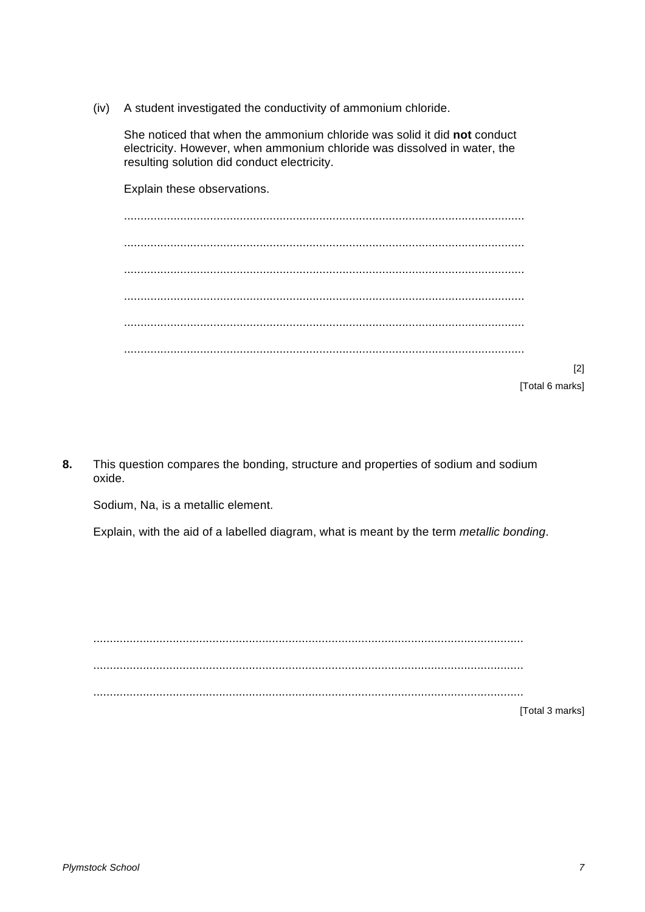A student investigated the conductivity of ammonium chloride.  $(iv)$ 

She noticed that when the ammonium chloride was solid it did not conduct electricity. However, when ammonium chloride was dissolved in water, the resulting solution did conduct electricity.

Explain these observations. 

 $[2]$ [Total 6 marks]

8. This question compares the bonding, structure and properties of sodium and sodium oxide.

Sodium, Na, is a metallic element.

Explain, with the aid of a labelled diagram, what is meant by the term metallic bonding.

[Total 3 marks]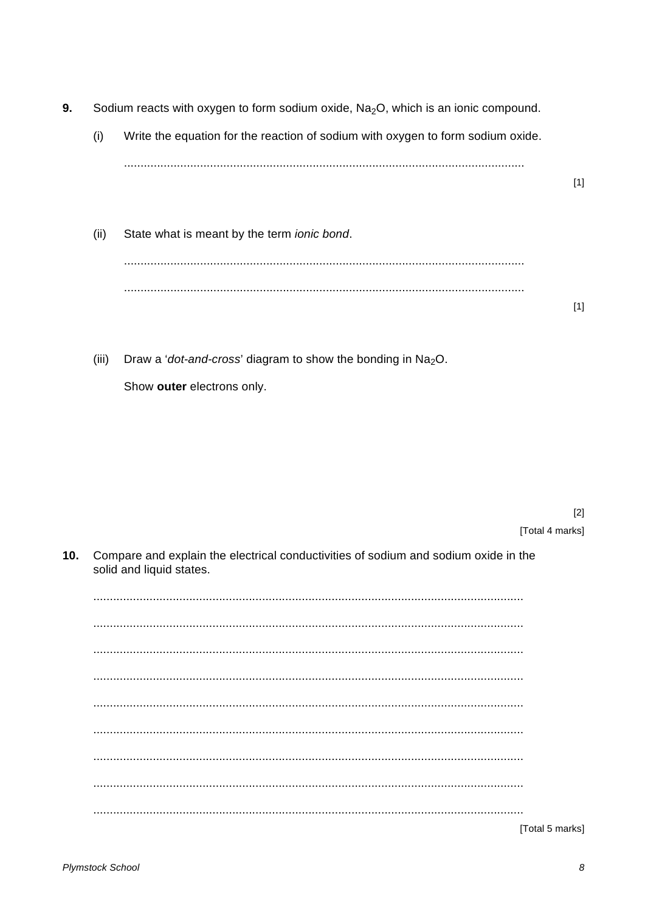- 9. Sodium reacts with oxygen to form sodium oxide, Na<sub>2</sub>O, which is an ionic compound.
	- $(i)$ Write the equation for the reaction of sodium with oxygen to form sodium oxide.
	- $(ii)$ State what is meant by the term ionic bond.
	- $(iii)$ Draw a 'dot-and-cross' diagram to show the bonding in  $Na<sub>2</sub>O$ . Show outer electrons only.

 $[2]$ [Total 4 marks]

 $[1]$ 

 $[1]$ 

 $10.$ Compare and explain the electrical conductivities of sodium and sodium oxide in the solid and liquid states.

[Total 5 marks]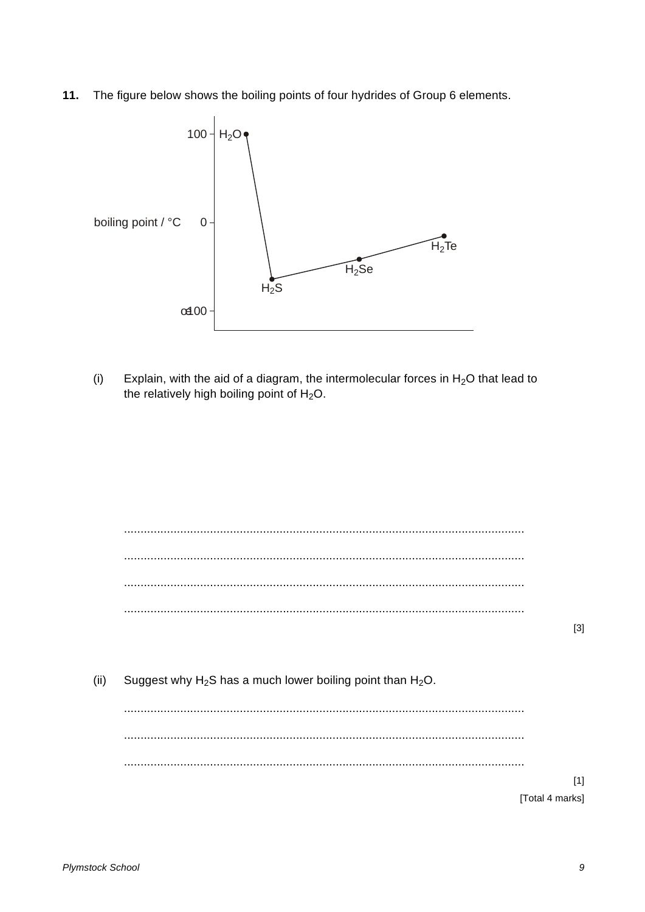The figure below shows the boiling points of four hydrides of Group 6 elements.  $11.$ 



 $(i)$ Explain, with the aid of a diagram, the intermolecular forces in  $H_2O$  that lead to the relatively high boiling point of H<sub>2</sub>O.

Suggest why  $H_2S$  has a much lower boiling point than  $H_2O$ .  $(ii)$ 

[Total 4 marks]

 $[1]$ 

 $[3]$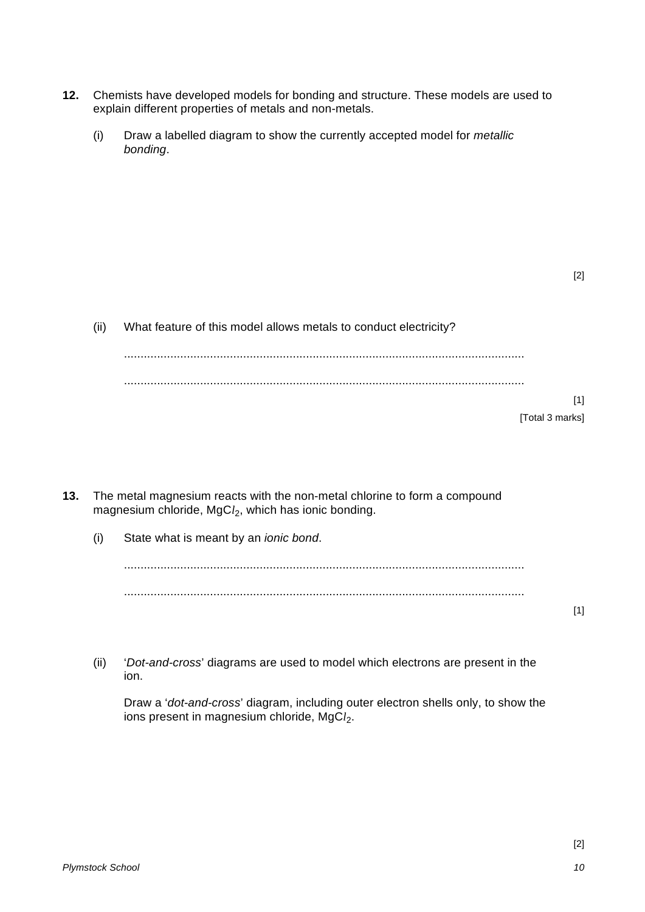- **12.** Chemists have developed models for bonding and structure. These models are used to explain different properties of metals and non-metals.
	- (i) Draw a labelled diagram to show the currently accepted model for *metallic bonding*.

[2]

| (ii) | What feature of this model allows metals to conduct electricity? |  |  |
|------|------------------------------------------------------------------|--|--|
|      |                                                                  |  |  |
|      |                                                                  |  |  |
|      |                                                                  |  |  |
|      | [Total 3 marks]                                                  |  |  |
|      |                                                                  |  |  |

- **13.** The metal magnesium reacts with the non-metal chlorine to form a compound magnesium chloride, MgC*l*2, which has ionic bonding.
	- (i) State what is meant by an *ionic bond*.

......................................................................................................................... .........................................................................................................................

(ii) '*Dot-and-cross*' diagrams are used to model which electrons are present in the ion.

Draw a '*dot-and-cross*' diagram, including outer electron shells only, to show the ions present in magnesium chloride, MgCl<sub>2</sub>.

[1]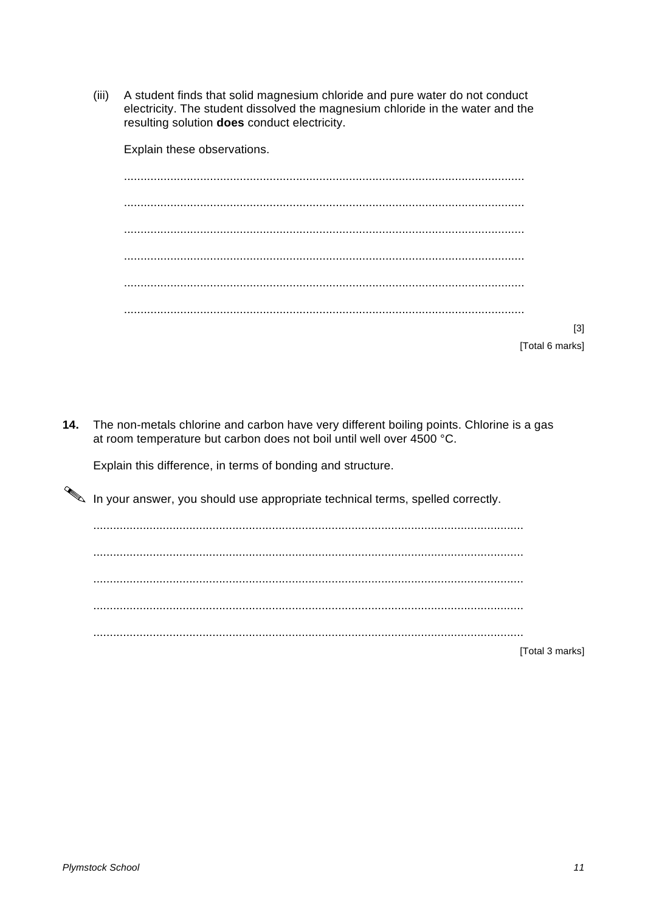$(iii)$ A student finds that solid magnesium chloride and pure water do not conduct electricity. The student dissolved the magnesium chloride in the water and the resulting solution does conduct electricity.

Explain these observations.

 $[3]$ 

[Total 6 marks]

 $14.$ The non-metals chlorine and carbon have very different boiling points. Chlorine is a gas at room temperature but carbon does not boil until well over 4500 °C.

Explain this difference, in terms of bonding and structure.

In your answer, you should use appropriate technical terms, spelled correctly.

[Total 3 marks]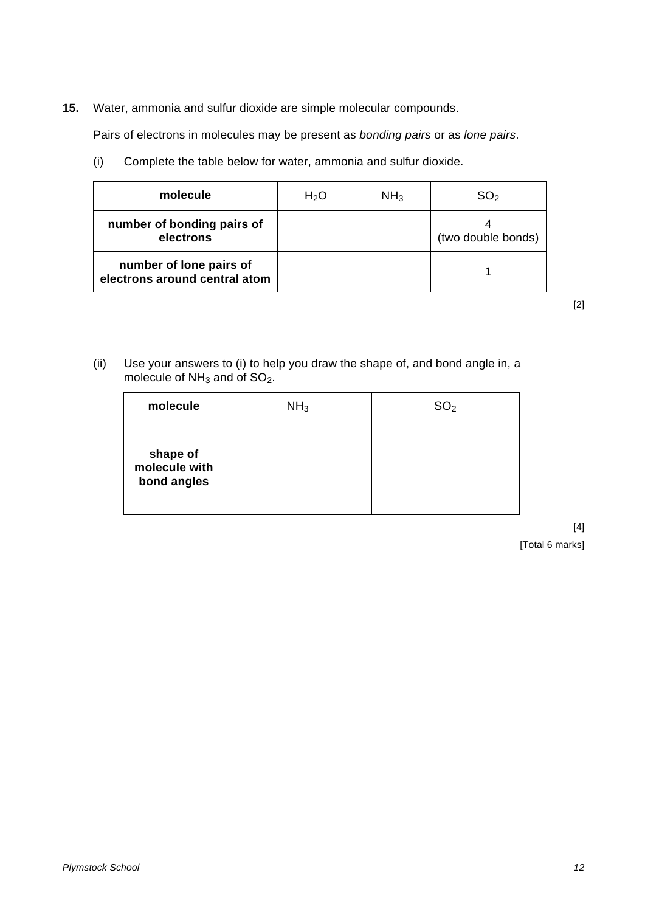**15.** Water, ammonia and sulfur dioxide are simple molecular compounds.

Pairs of electrons in molecules may be present as *bonding pairs* or as *lone pairs*.

(i) Complete the table below for water, ammonia and sulfur dioxide.

| molecule                                                 | H <sub>2</sub> O | NH <sub>3</sub> | SO <sub>2</sub>    |
|----------------------------------------------------------|------------------|-----------------|--------------------|
| number of bonding pairs of<br>electrons                  |                  |                 | (two double bonds) |
| number of lone pairs of<br>electrons around central atom |                  |                 |                    |

[2]

(ii) Use your answers to (i) to help you draw the shape of, and bond angle in, a molecule of  $NH<sub>3</sub>$  and of SO<sub>2</sub>.

| molecule                                 | NH <sub>3</sub> | $\mathrm{SO}_2$ |
|------------------------------------------|-----------------|-----------------|
| shape of<br>molecule with<br>bond angles |                 |                 |

[4] [Total 6 marks]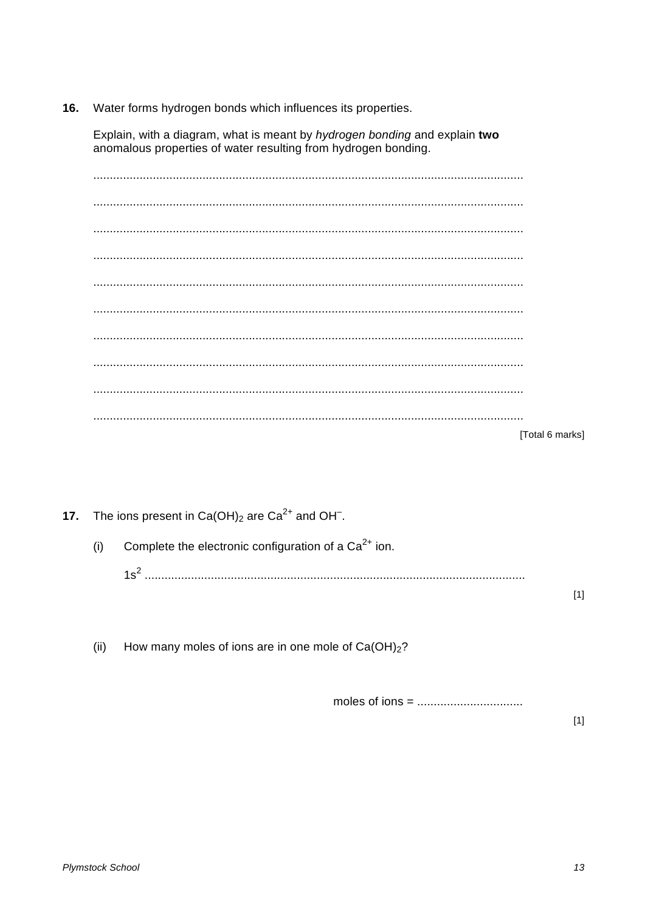16. Water forms hydrogen bonds which influences its properties.

Explain, with a diagram, what is meant by hydrogen bonding and explain two anomalous properties of water resulting from hydrogen bonding.

[Total 6 marks]

The ions present in  $Ca(OH)_2$  are  $Ca^{2+}$  and OH<sup>-</sup>.  $17.$ Complete the electronic configuration of a  $Ca^{2+}$  ion.  $(i)$  $[1]$ 

 $(ii)$ How many moles of ions are in one mole of  $Ca(OH)_2$ ?

 $[1]$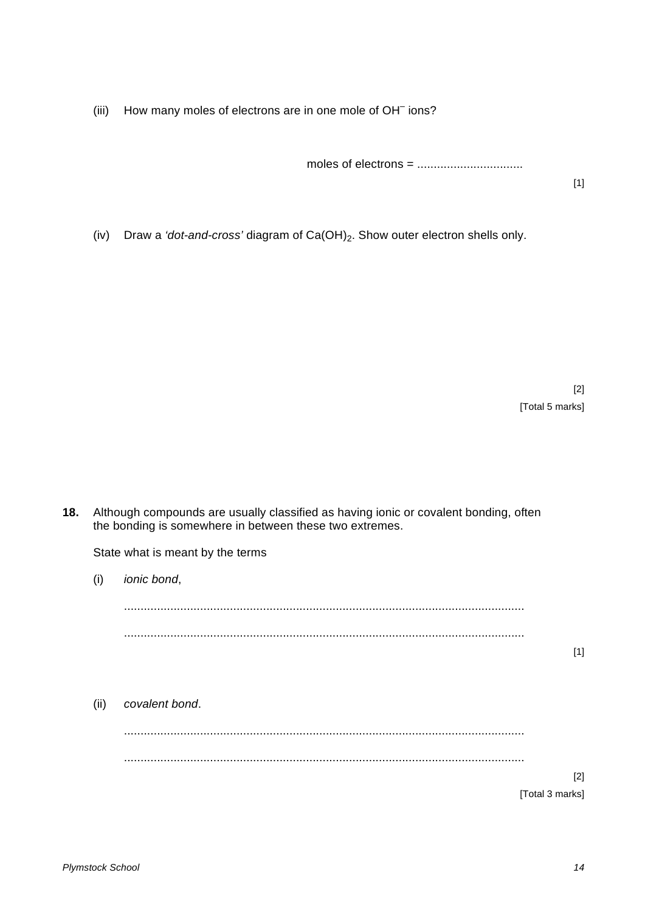(iii) How many moles of electrons are in one mole of OH<sup>-</sup> ions?

moles of electrons =  $\dots$  $\dots$  $\dots$  $\dots$  $\dots$  $\dots$  $\dots$ 

[1]

(iv) Draw a *'dot-and-cross'* diagram of Ca(OH)2. Show outer electron shells only.

[2] [Total 5 marks]

**18.** Although compounds are usually classified as having ionic or covalent bonding, often the bonding is somewhere in between these two extremes.

State what is meant by the terms

(i) *ionic bond*, ......................................................................................................................... ......................................................................................................................... [1] (ii) *covalent bond*. ......................................................................................................................... ......................................................................................................................... [2] [Total 3 marks]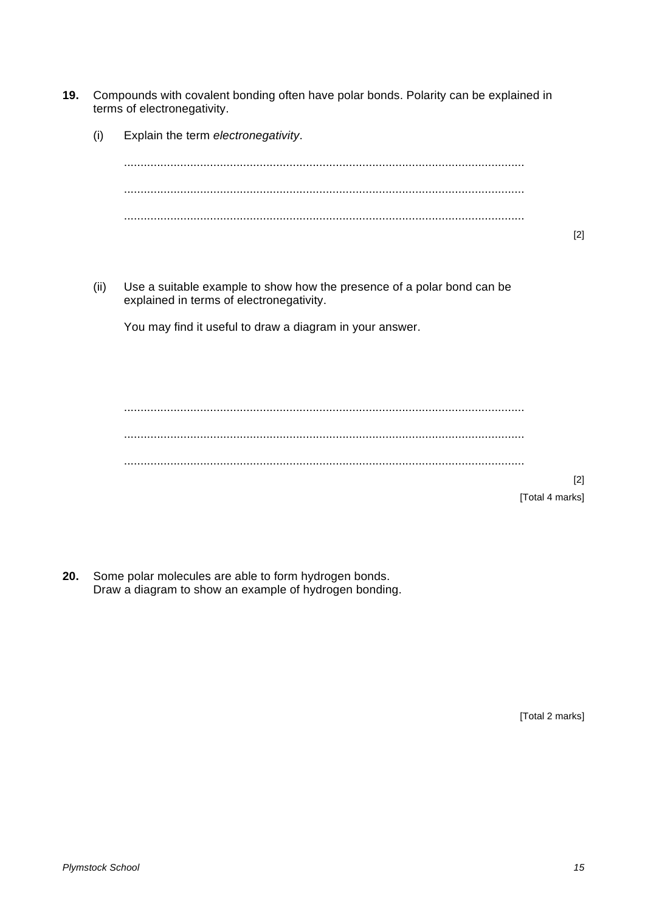**19.** Compounds with covalent bonding often have polar bonds. Polarity can be explained in terms of electronegativity. (i) Explain the term *electronegativity*. ......................................................................................................................... ......................................................................................................................... ......................................................................................................................... [2] (ii) Use a suitable example to show how the presence of a polar bond can be explained in terms of electronegativity. You may find it useful to draw a diagram in your answer. ......................................................................................................................... ......................................................................................................................... ......................................................................................................................... [2]

[Total 4 marks]

**20.** Some polar molecules are able to form hydrogen bonds. Draw a diagram to show an example of hydrogen bonding.

[Total 2 marks]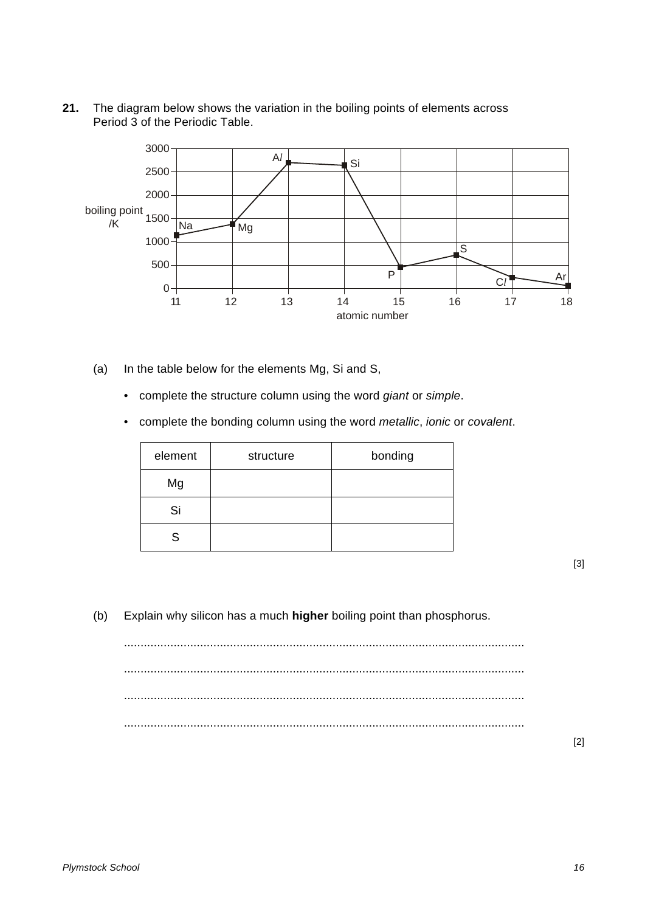**21.** The diagram below shows the variation in the boiling points of elements across Period 3 of the Periodic Table.



- (a) In the table below for the elements Mg, Si and S,
	- complete the structure column using the word *giant* or *simple*.
	- complete the bonding column using the word *metallic*, *ionic* or *covalent*.

| element | structure | bonding |
|---------|-----------|---------|
| Mg      |           |         |
| Si      |           |         |
| S       |           |         |

[3]

(b) Explain why silicon has a much **higher** boiling point than phosphorus.

......................................................................................................................... ......................................................................................................................... ......................................................................................................................... .........................................................................................................................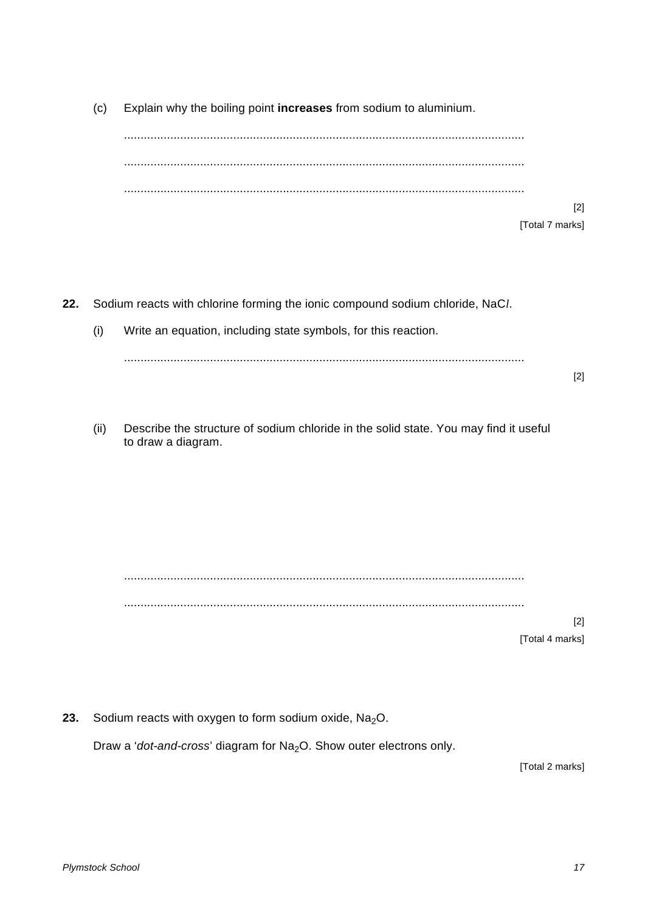(c) Explain why the boiling point **increases** from sodium to aluminium.

......................................................................................................................... ......................................................................................................................... .........................................................................................................................

> [2] [Total 7 marks]

**22.** Sodium reacts with chlorine forming the ionic compound sodium chloride, NaC*l*.

(i) Write an equation, including state symbols, for this reaction.

.........................................................................................................................

[2]

(ii) Describe the structure of sodium chloride in the solid state. You may find it useful to draw a diagram.

......................................................................................................................... .........................................................................................................................

> [2] [Total 4 marks]

**23.** Sodium reacts with oxygen to form sodium oxide, Na<sub>2</sub>O.

Draw a '*dot-and-cross*' diagram for Na<sub>2</sub>O. Show outer electrons only.

[Total 2 marks]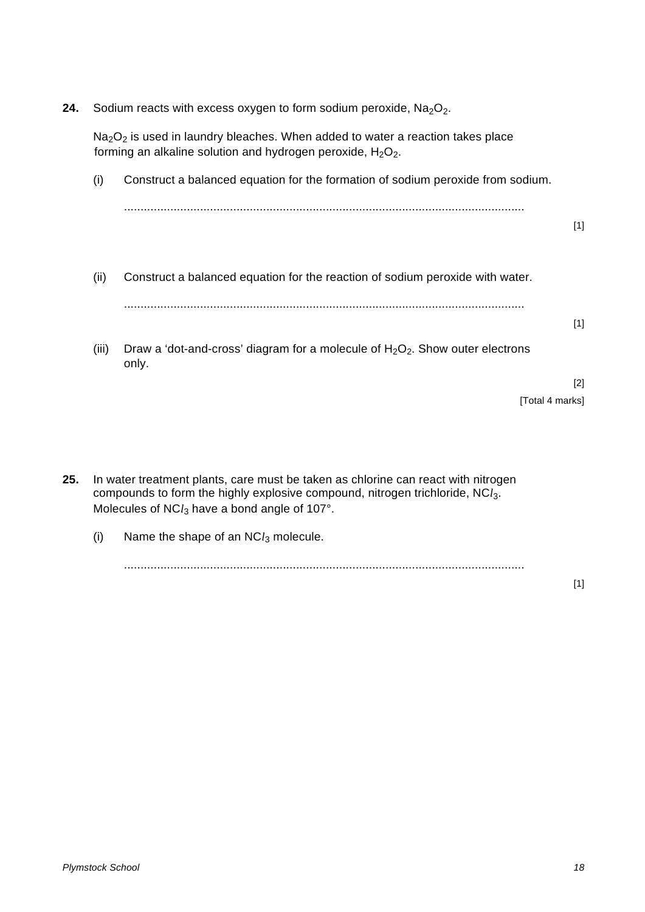**24.** Sodium reacts with excess oxygen to form sodium peroxide, Na<sub>2</sub>O<sub>2</sub>.

 $Na<sub>2</sub>O<sub>2</sub>$  is used in laundry bleaches. When added to water a reaction takes place forming an alkaline solution and hydrogen peroxide,  $H_2O_2$ .

- (i) Construct a balanced equation for the formation of sodium peroxide from sodium. ......................................................................................................................... [1]
- (ii) Construct a balanced equation for the reaction of sodium peroxide with water. .........................................................................................................................
- (iii) Draw a 'dot-and-cross' diagram for a molecule of  $H_2O_2$ . Show outer electrons only.

[2] [Total 4 marks]

[1]

- **25.** In water treatment plants, care must be taken as chlorine can react with nitrogen compounds to form the highly explosive compound, nitrogen trichloride, NC*l*3. Molecules of NCl<sub>3</sub> have a bond angle of 107°.
	- (i) Name the shape of an NC*l*<sup>3</sup> molecule.

.........................................................................................................................

[1]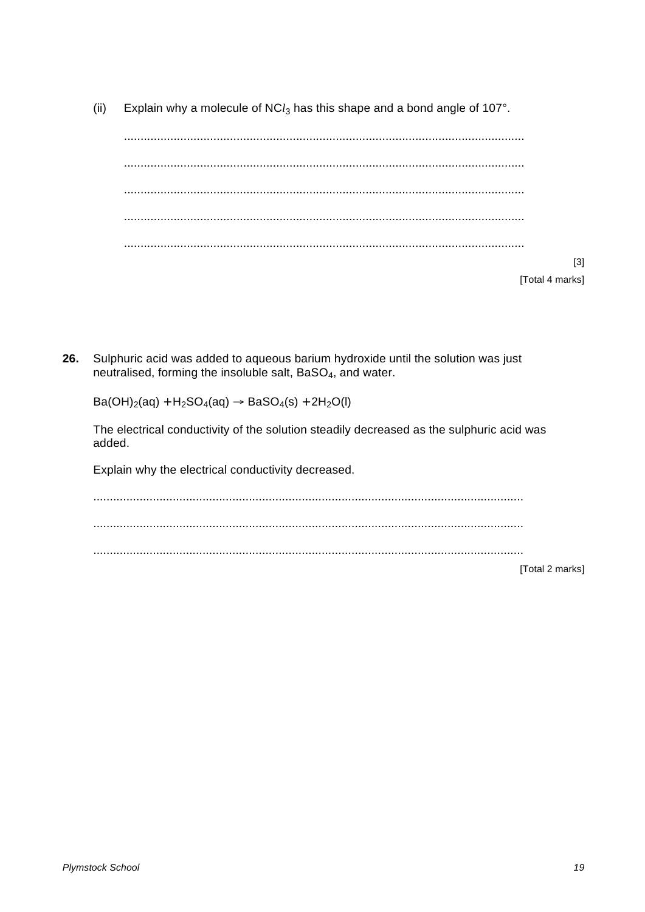$(ii)$ Explain why a molecule of NC $l_3$  has this shape and a bond angle of 107°.

 $[3]$ [Total 4 marks]

Sulphuric acid was added to aqueous barium hydroxide until the solution was just 26. neutralised, forming the insoluble salt, BaSO<sub>4</sub>, and water.

 $Ba(OH)<sub>2</sub>(aq) + H<sub>2</sub>SO<sub>4</sub>(aq) \rightarrow BaSO<sub>4</sub>(s) + 2H<sub>2</sub>O(l)$ 

The electrical conductivity of the solution steadily decreased as the sulphuric acid was added.

Explain why the electrical conductivity decreased.

[Total 2 marks]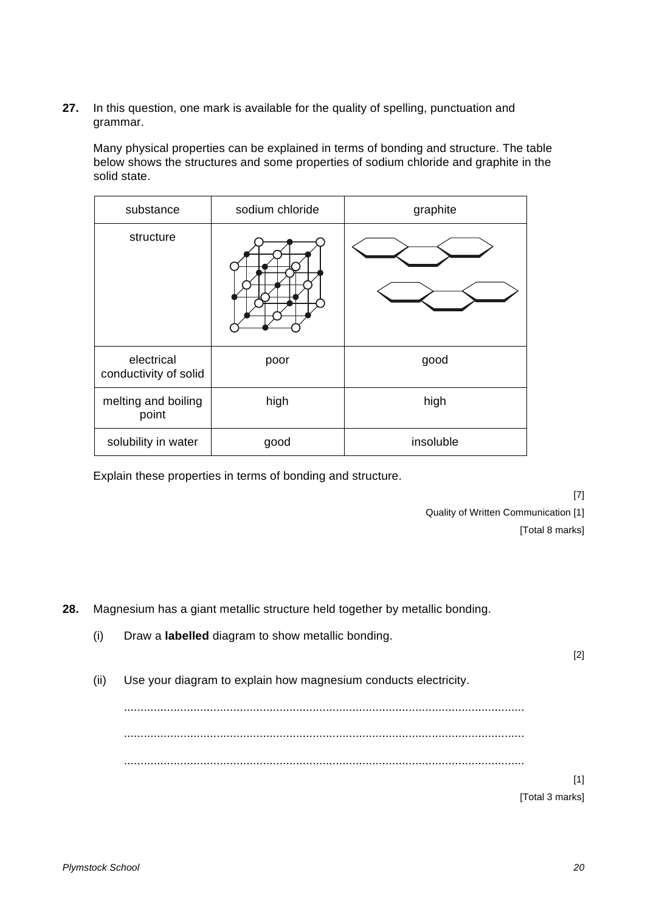**27.** In this question, one mark is available for the quality of spelling, punctuation and grammar.

Many physical properties can be explained in terms of bonding and structure. The table below shows the structures and some properties of sodium chloride and graphite in the solid state.

| substance                           | sodium chloride | graphite  |  |
|-------------------------------------|-----------------|-----------|--|
| structure                           |                 |           |  |
| electrical<br>conductivity of solid | poor            | good      |  |
| melting and boiling<br>point        | high            | high      |  |
| solubility in water                 | good            | insoluble |  |

Explain these properties in terms of bonding and structure.

[7] Quality of Written Communication [1] [Total 8 marks]

**28.** Magnesium has a giant metallic structure held together by metallic bonding.

- (i) Draw a **labelled** diagram to show metallic bonding.
- (ii) Use your diagram to explain how magnesium conducts electricity.

......................................................................................................................... .........................................................................................................................

.........................................................................................................................

[1] [Total 3 marks]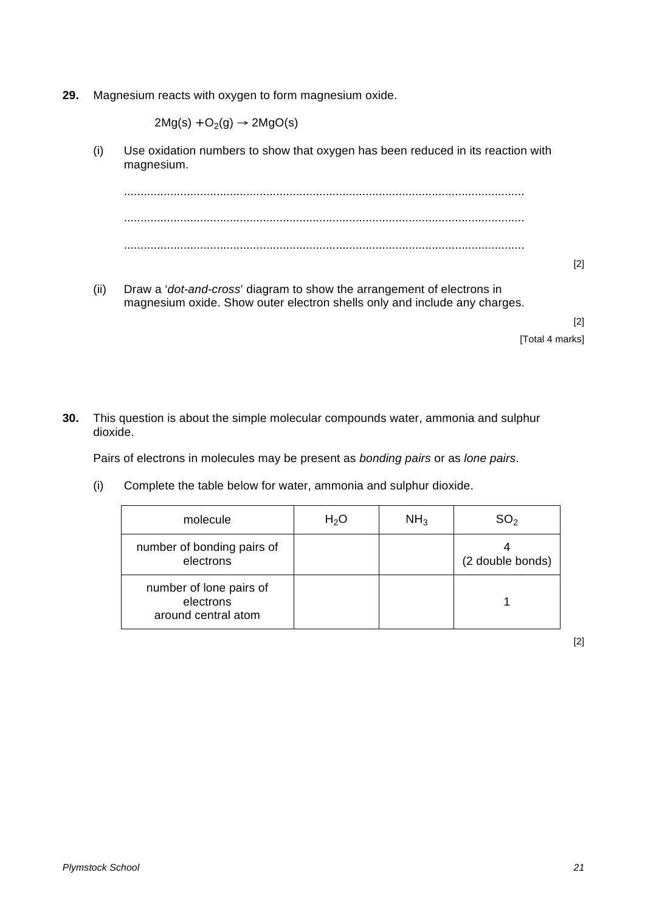**29.** Magnesium reacts with oxygen to form magnesium oxide.

 $2Mg(s) + O_2(g) \rightarrow 2MgO(s)$ 

(i) Use oxidation numbers to show that oxygen has been reduced in its reaction with magnesium.

......................................................................................................................... ......................................................................................................................... .........................................................................................................................

- [2]
- (ii) Draw a '*dot-and-cross*' diagram to show the arrangement of electrons in magnesium oxide. Show outer electron shells only and include any charges.

[2] [Total 4 marks]

**30.** This question is about the simple molecular compounds water, ammonia and sulphur dioxide.

Pairs of electrons in molecules may be present as *bonding pairs* or as *lone pairs*.

(i) Complete the table below for water, ammonia and sulphur dioxide.

| molecule                                                    | $H_2O$ | NH <sub>3</sub> | SO2              |
|-------------------------------------------------------------|--------|-----------------|------------------|
| number of bonding pairs of<br>electrons                     |        |                 | (2 double bonds) |
| number of lone pairs of<br>electrons<br>around central atom |        |                 |                  |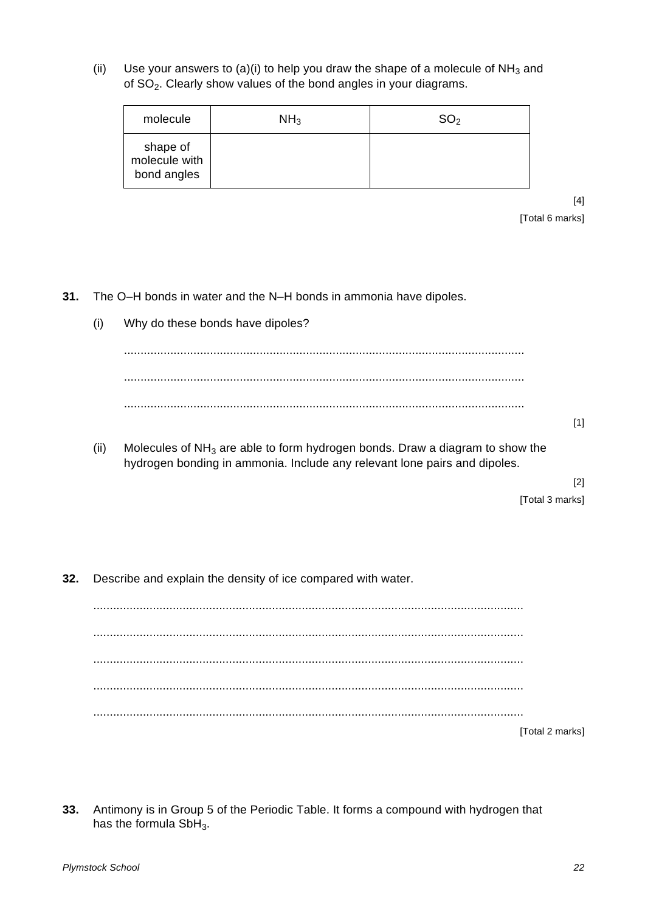(ii) Use your answers to (a)(i) to help you draw the shape of a molecule of  $NH_3$  and of SO2. Clearly show values of the bond angles in your diagrams.

| molecule                                 | NH <sub>3</sub> | SO <sub>2</sub> |
|------------------------------------------|-----------------|-----------------|
| shape of<br>molecule with<br>bond angles |                 |                 |

[4] [Total 6 marks]

- **31.** The O–H bonds in water and the N–H bonds in ammonia have dipoles.
	- (i) Why do these bonds have dipoles?

[1]

(ii) Molecules of  $NH<sub>3</sub>$  are able to form hydrogen bonds. Draw a diagram to show the hydrogen bonding in ammonia. Include any relevant lone pairs and dipoles.

[2]

[Total 3 marks]

**32.** Describe and explain the density of ice compared with water.

.................................................................................................................................. .................................................................................................................................. .................................................................................................................................. .................................................................................................................................. .................................................................................................................................. [Total 2 marks]

**33.** Antimony is in Group 5 of the Periodic Table. It forms a compound with hydrogen that has the formula  $SbH_3$ .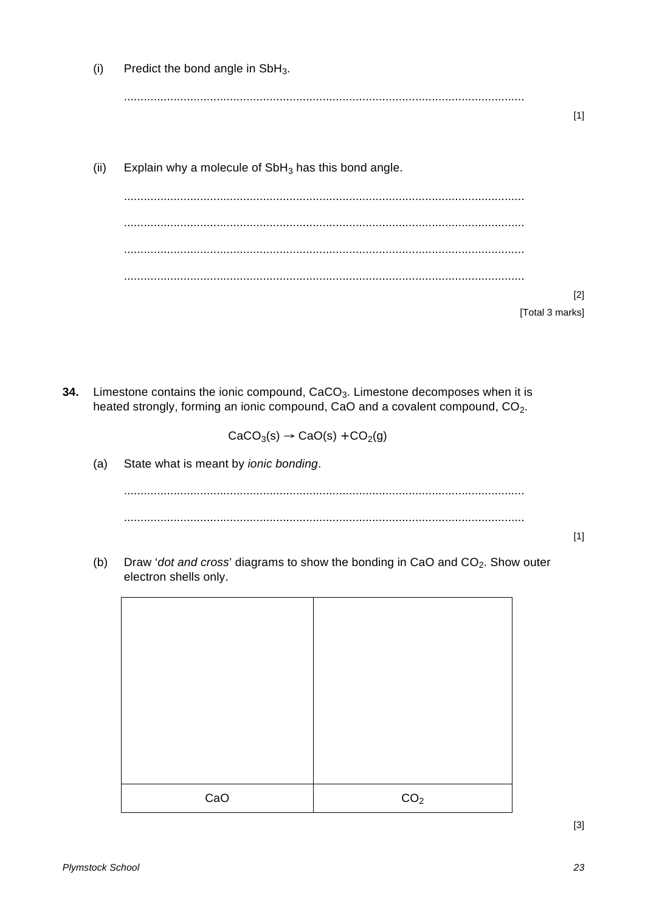| (i)  | Predict the bond angle in SbH <sub>3</sub> .           |       |
|------|--------------------------------------------------------|-------|
|      | .                                                      |       |
|      |                                                        | $[1]$ |
|      |                                                        |       |
| (ii) | Explain why a molecule of $SbH_3$ has this bond angle. |       |
|      |                                                        |       |
|      |                                                        |       |
|      |                                                        |       |
|      |                                                        |       |
|      |                                                        | $[2]$ |
|      | [Total 3 marks]                                        |       |

34. Limestone contains the ionic compound, CaCO<sub>3</sub>. Limestone decomposes when it is heated strongly, forming an ionic compound, CaO and a covalent compound, CO<sub>2</sub>.

 $CaCO<sub>3</sub>(s) \rightarrow CaO(s) + CO<sub>2</sub>(g)$ 

 $(a)$ State what is meant by ionic bonding.

Draw 'dot and cross' diagrams to show the bonding in CaO and CO<sub>2</sub>. Show outer  $(b)$ electron shells only.

| CaO | CO <sub>2</sub> |
|-----|-----------------|
|     |                 |

 $[3]$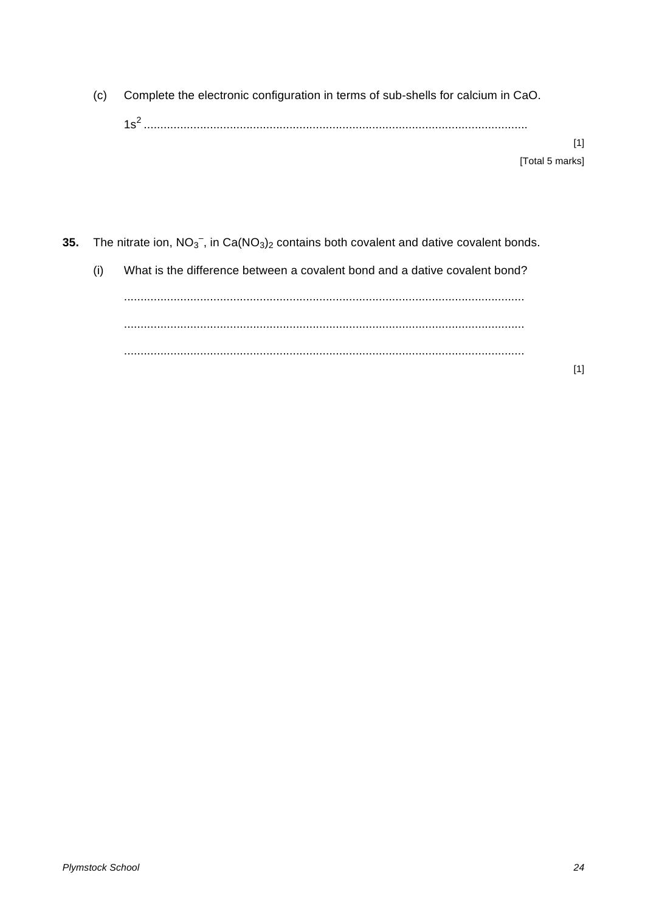(c) Complete the electronic configuration in terms of sub-shells for calcium in CaO. 1s2 ....................................................................................................................

> [1] [Total 5 marks]

**35.** The nitrate ion,  $NO<sub>3</sub><sup>-</sup>$ , in Ca( $NO<sub>3</sub><sub>2</sub>$  contains both covalent and dative covalent bonds.

(i) What is the difference between a covalent bond and a dative covalent bond? ......................................................................................................................... ......................................................................................................................... .........................................................................................................................

[1]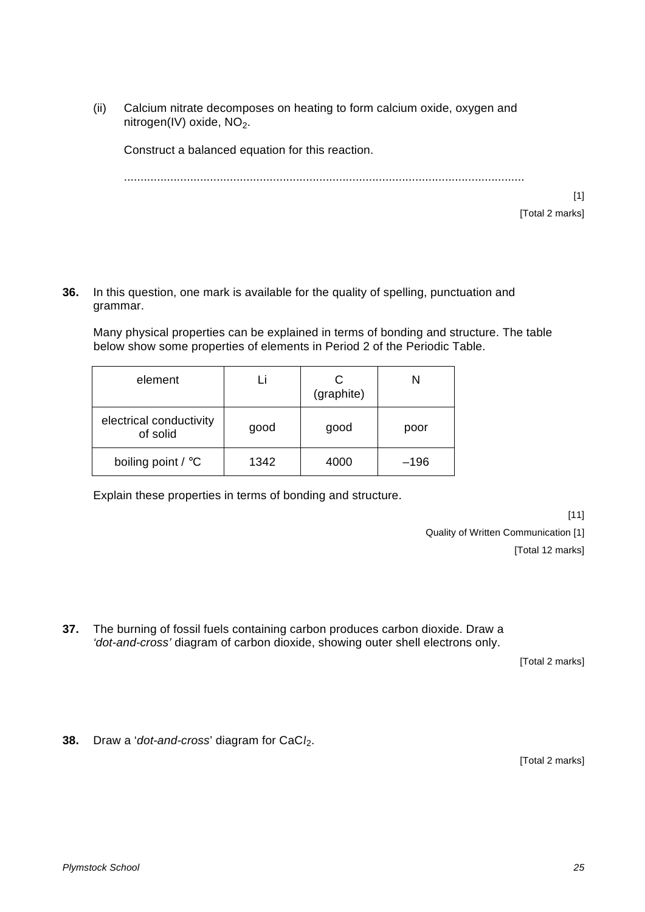(ii) Calcium nitrate decomposes on heating to form calcium oxide, oxygen and nitrogen(IV) oxide, NO<sub>2</sub>.

Construct a balanced equation for this reaction.

.........................................................................................................................

[1] [Total 2 marks]

**36.** In this question, one mark is available for the quality of spelling, punctuation and grammar.

Many physical properties can be explained in terms of bonding and structure. The table below show some properties of elements in Period 2 of the Periodic Table.

| element                             |      | (graphite) |        |
|-------------------------------------|------|------------|--------|
| electrical conductivity<br>of solid | good | good       | poor   |
| boiling point / °C                  | 1342 | 4000       | $-196$ |

Explain these properties in terms of bonding and structure.

[11] Quality of Written Communication [1] [Total 12 marks]

**37.** The burning of fossil fuels containing carbon produces carbon dioxide. Draw a *'dot-and-cross'* diagram of carbon dioxide, showing outer shell electrons only.

[Total 2 marks]

**38.** Draw a '*dot-and-cross*' diagram for CaC*l*2.

[Total 2 marks]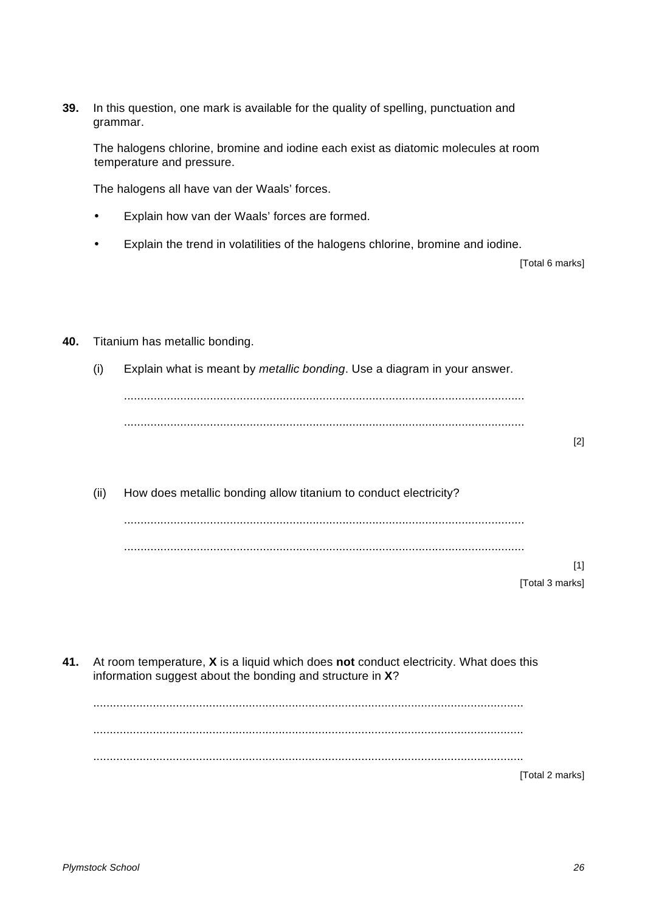**39.** In this question, one mark is available for the quality of spelling, punctuation and grammar.

The halogens chlorine, bromine and iodine each exist as diatomic molecules at room temperature and pressure.

The halogens all have van der Waals' forces.

- Explain how van der Waals' forces are formed.
- Explain the trend in volatilities of the halogens chlorine, bromine and iodine.

[Total 6 marks]

- **40.** Titanium has metallic bonding.
	- (i) Explain what is meant by *metallic bonding*. Use a diagram in your answer.

......................................................................................................................... .........................................................................................................................

[2]

(ii) How does metallic bonding allow titanium to conduct electricity? ......................................................................................................................... .........................................................................................................................

> [1] [Total 3 marks]

**41.** At room temperature, **X** is a liquid which does **not** conduct electricity. What does this information suggest about the bonding and structure in **X**?

[Total 2 marks]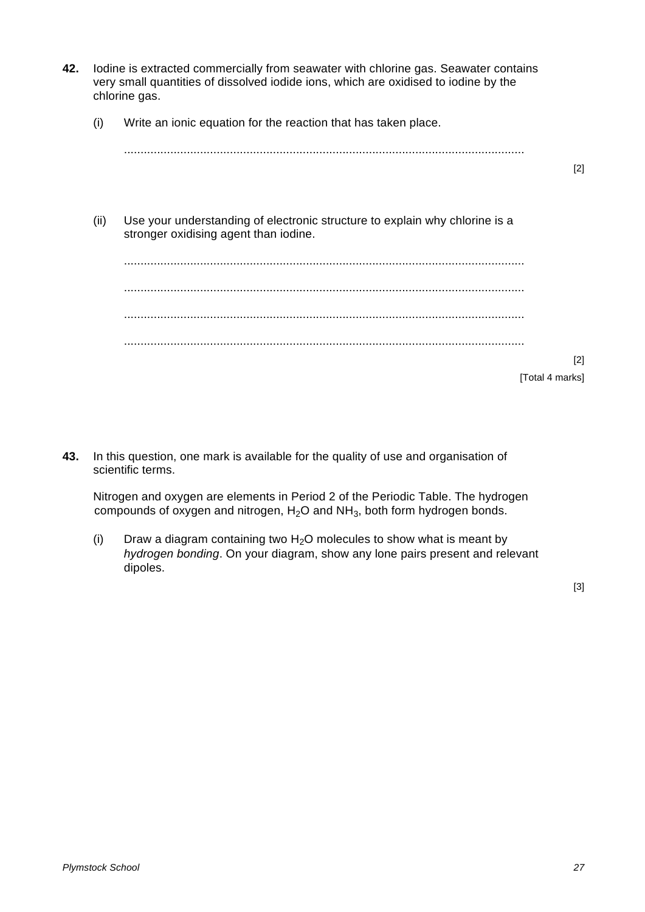- **42.** Iodine is extracted commercially from seawater with chlorine gas. Seawater contains very small quantities of dissolved iodide ions, which are oxidised to iodine by the chlorine gas. (i) Write an ionic equation for the reaction that has taken place. ......................................................................................................................... [2] (ii) Use your understanding of electronic structure to explain why chlorine is a stronger oxidising agent than iodine. ......................................................................................................................... ......................................................................................................................... ......................................................................................................................... ......................................................................................................................... [2] [Total 4 marks]
- **43.** In this question, one mark is available for the quality of use and organisation of scientific terms.

Nitrogen and oxygen are elements in Period 2 of the Periodic Table. The hydrogen compounds of oxygen and nitrogen,  $H<sub>2</sub>O$  and  $NH<sub>3</sub>$ , both form hydrogen bonds.

(i) Draw a diagram containing two  $H_2O$  molecules to show what is meant by *hydrogen bonding*. On your diagram, show any lone pairs present and relevant dipoles.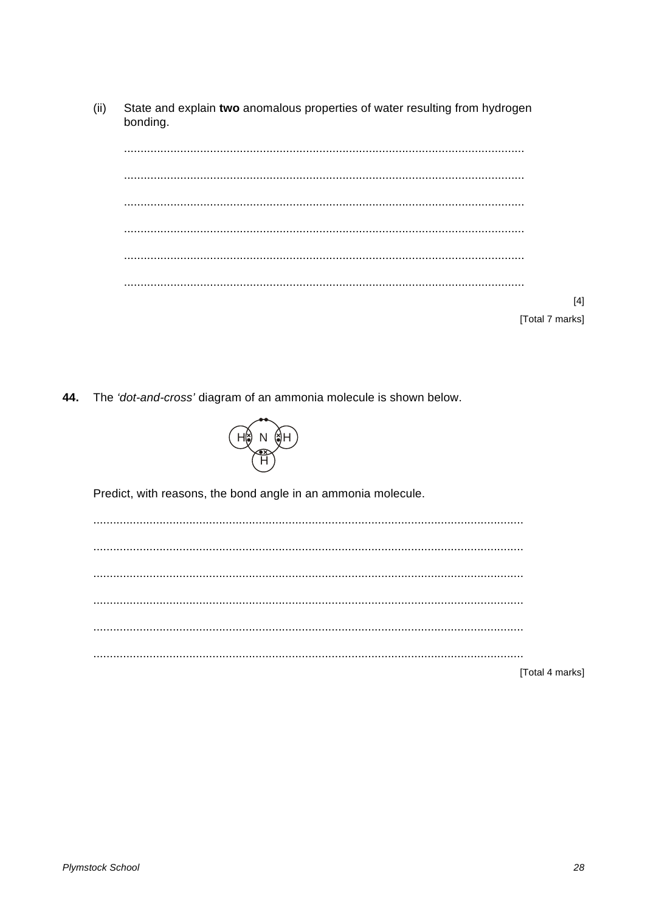$(ii)$ State and explain two anomalous properties of water resulting from hydrogen bonding.

| $[4]$                 |
|-----------------------|
|                       |
| <b>Total 7 marksl</b> |

44. The 'dot-and-cross' diagram of an ammonia molecule is shown below.



Predict, with reasons, the bond angle in an ammonia molecule.

[Total 4 marks]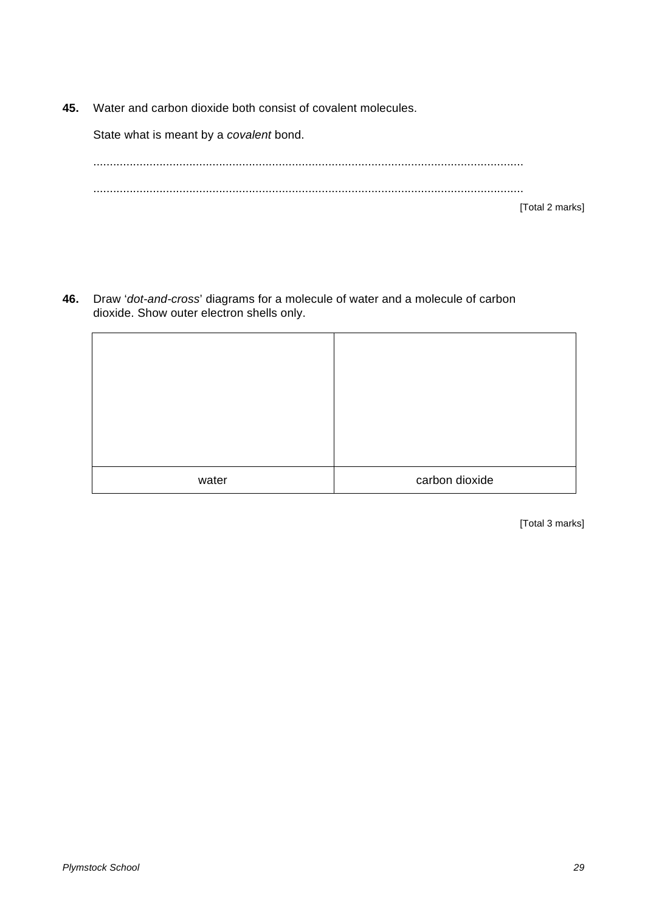**45.** Water and carbon dioxide both consist of covalent molecules.

State what is meant by a *covalent* bond.

.................................................................................................................................. .................................................................................................................................. [Total 2 marks]

**46.** Draw '*dot-and-cross*' diagrams for a molecule of water and a molecule of carbon dioxide. Show outer electron shells only.

| water | carbon dioxide |
|-------|----------------|

[Total 3 marks]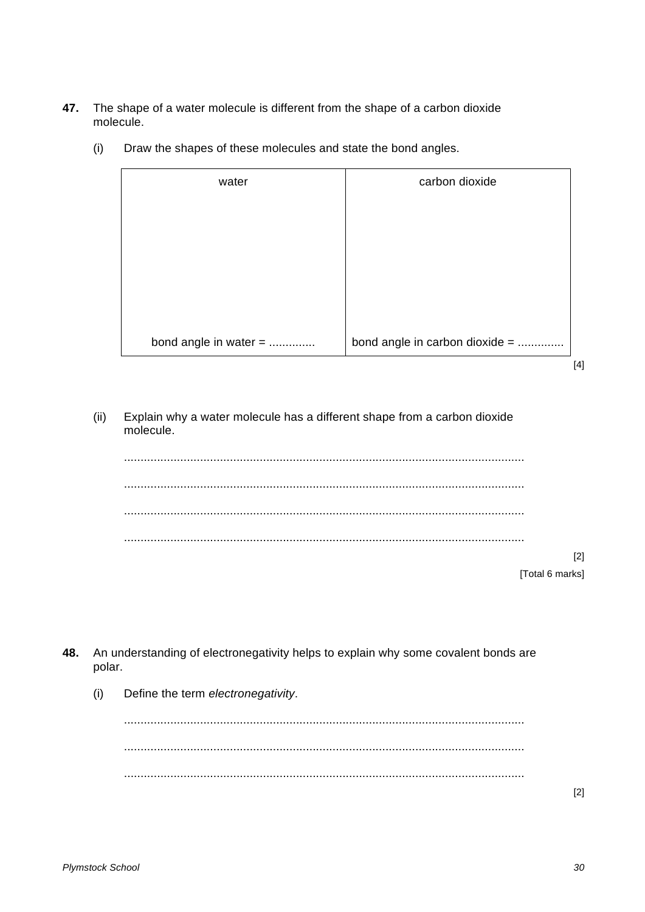**47.** The shape of a water molecule is different from the shape of a carbon dioxide molecule.

| water                 | carbon dioxide                 |
|-----------------------|--------------------------------|
|                       |                                |
|                       |                                |
|                       |                                |
|                       |                                |
| bond angle in water = | bond angle in carbon dioxide = |

(i) Draw the shapes of these molecules and state the bond angles.

 $[4]$ 

(ii) Explain why a water molecule has a different shape from a carbon dioxide molecule.

......................................................................................................................... ......................................................................................................................... ......................................................................................................................... ......................................................................................................................... [2]

**48.** An understanding of electronegativity helps to explain why some covalent bonds are polar.

(i) Define the term *electronegativity*.

......................................................................................................................... ......................................................................................................................... .........................................................................................................................

<sup>[</sup>Total 6 marks]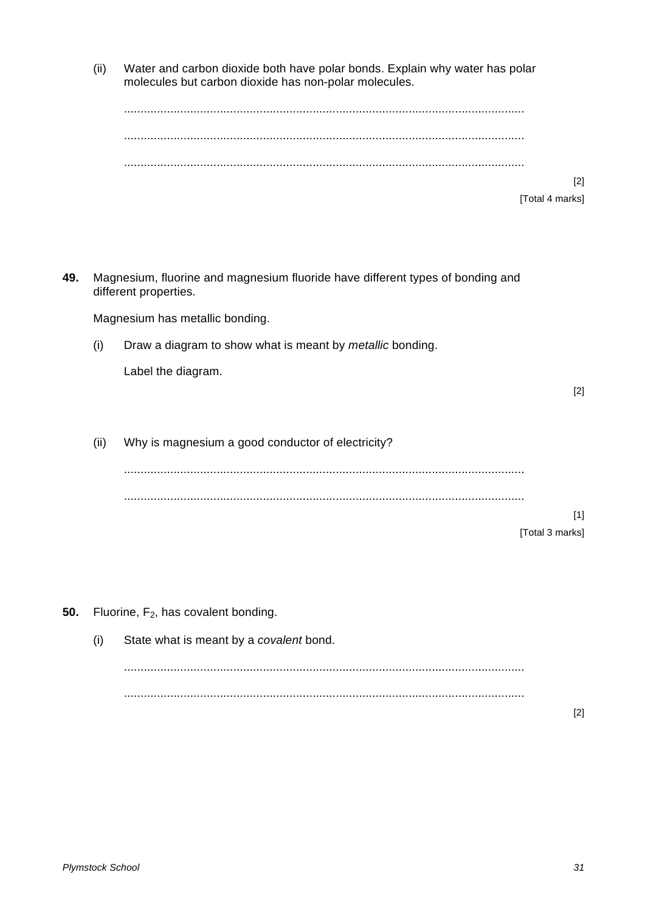(ii) Water and carbon dioxide both have polar bonds. Explain why water has polar molecules but carbon dioxide has non-polar molecules.

|     |      |                                                                                                         | $[2]$           |
|-----|------|---------------------------------------------------------------------------------------------------------|-----------------|
|     |      |                                                                                                         | [Total 4 marks] |
|     |      |                                                                                                         |                 |
|     |      |                                                                                                         |                 |
|     |      |                                                                                                         |                 |
| 49. |      | Magnesium, fluorine and magnesium fluoride have different types of bonding and<br>different properties. |                 |
|     |      | Magnesium has metallic bonding.                                                                         |                 |
|     | (i)  | Draw a diagram to show what is meant by metallic bonding.                                               |                 |
|     |      | Label the diagram.                                                                                      |                 |
|     |      |                                                                                                         | $[2]$           |
|     |      |                                                                                                         |                 |
|     |      |                                                                                                         |                 |
|     | (ii) | Why is magnesium a good conductor of electricity?                                                       |                 |
|     |      |                                                                                                         |                 |
|     |      |                                                                                                         |                 |
|     |      |                                                                                                         | $[1]$           |
|     |      |                                                                                                         | [Total 3 marks] |
|     |      |                                                                                                         |                 |
|     |      |                                                                                                         |                 |
|     |      |                                                                                                         |                 |
| 50. |      | Fluorine, F <sub>2</sub> , has covalent bonding.                                                        |                 |
|     | (i)  | State what is meant by a covalent bond.                                                                 |                 |
|     |      |                                                                                                         |                 |
|     |      |                                                                                                         |                 |
|     |      |                                                                                                         | $[2]$           |
|     |      |                                                                                                         |                 |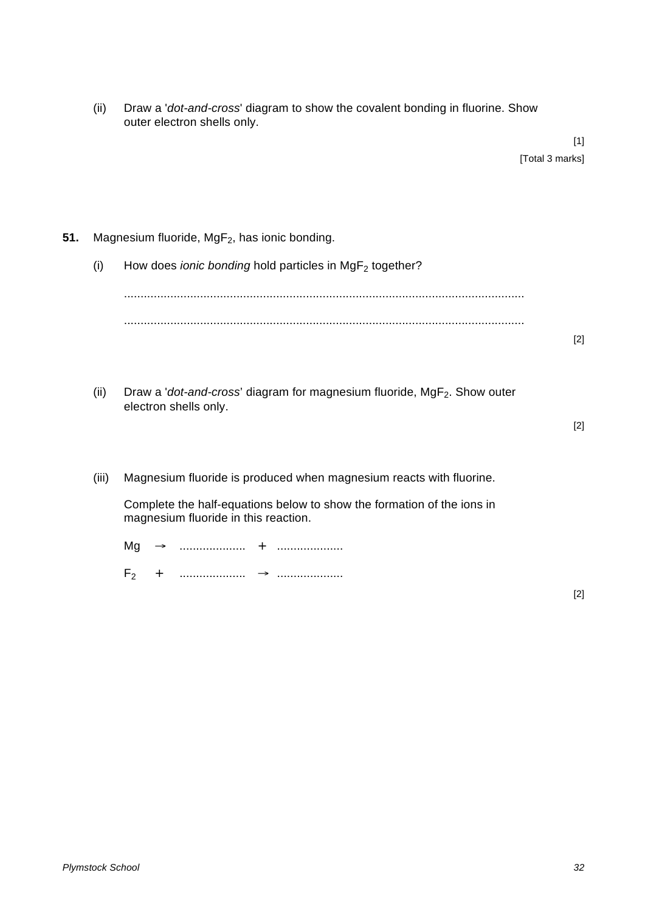| (ii) | Draw a 'dot-and-cross' diagram to show the covalent bonding in fluorine. Show |
|------|-------------------------------------------------------------------------------|
|      | outer electron shells only.                                                   |

(i) How does *ionic bonding* hold particles in MgF<sub>2</sub> together?

......................................................................................................................... ......................................................................................................................... [2]

(ii) Draw a '*dot-and-cross*' diagram for magnesium fluoride, MgF<sub>2</sub>. Show outer electron shells only.

[2]

(iii) Magnesium fluoride is produced when magnesium reacts with fluorine.

Complete the half-equations below to show the formation of the ions in magnesium fluoride in this reaction.

| M       |  |  |
|---------|--|--|
| $F_{2}$ |  |  |